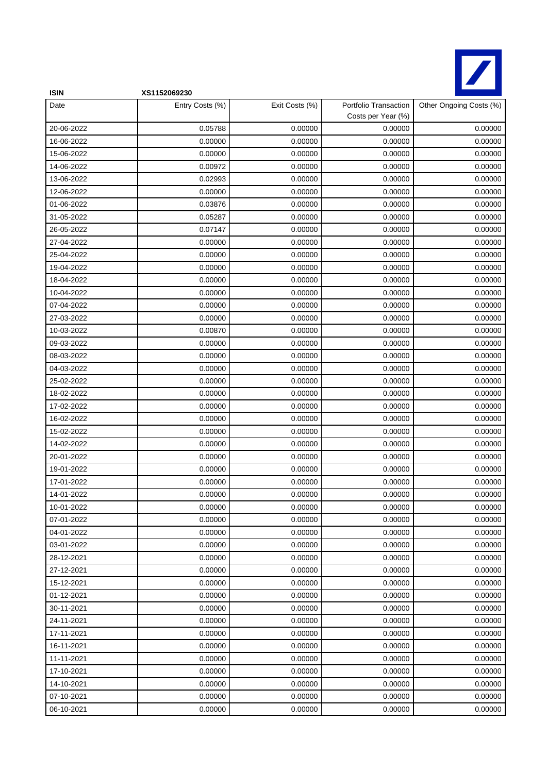

| <b>ISIN</b> | XS1152069230    |                |                                             |                         |
|-------------|-----------------|----------------|---------------------------------------------|-------------------------|
| Date        | Entry Costs (%) | Exit Costs (%) | Portfolio Transaction<br>Costs per Year (%) | Other Ongoing Costs (%) |
| 20-06-2022  | 0.05788         | 0.00000        | 0.00000                                     | 0.00000                 |
| 16-06-2022  | 0.00000         | 0.00000        | 0.00000                                     | 0.00000                 |
| 15-06-2022  | 0.00000         | 0.00000        | 0.00000                                     | 0.00000                 |
| 14-06-2022  | 0.00972         | 0.00000        | 0.00000                                     | 0.00000                 |
| 13-06-2022  | 0.02993         | 0.00000        | 0.00000                                     | 0.00000                 |
| 12-06-2022  | 0.00000         | 0.00000        | 0.00000                                     | 0.00000                 |
| 01-06-2022  | 0.03876         | 0.00000        | 0.00000                                     | 0.00000                 |
| 31-05-2022  | 0.05287         | 0.00000        | 0.00000                                     | 0.00000                 |
| 26-05-2022  | 0.07147         | 0.00000        | 0.00000                                     | 0.00000                 |
| 27-04-2022  | 0.00000         | 0.00000        | 0.00000                                     | 0.00000                 |
| 25-04-2022  | 0.00000         | 0.00000        | 0.00000                                     | 0.00000                 |
| 19-04-2022  | 0.00000         | 0.00000        | 0.00000                                     | 0.00000                 |
| 18-04-2022  | 0.00000         | 0.00000        | 0.00000                                     | 0.00000                 |
| 10-04-2022  | 0.00000         | 0.00000        | 0.00000                                     | 0.00000                 |
| 07-04-2022  | 0.00000         | 0.00000        | 0.00000                                     | 0.00000                 |
| 27-03-2022  | 0.00000         | 0.00000        | 0.00000                                     | 0.00000                 |
| 10-03-2022  | 0.00870         | 0.00000        | 0.00000                                     | 0.00000                 |
| 09-03-2022  | 0.00000         | 0.00000        | 0.00000                                     | 0.00000                 |
| 08-03-2022  | 0.00000         | 0.00000        | 0.00000                                     | 0.00000                 |
| 04-03-2022  | 0.00000         | 0.00000        | 0.00000                                     | 0.00000                 |
| 25-02-2022  | 0.00000         | 0.00000        | 0.00000                                     | 0.00000                 |
| 18-02-2022  | 0.00000         | 0.00000        | 0.00000                                     | 0.00000                 |
| 17-02-2022  | 0.00000         | 0.00000        | 0.00000                                     | 0.00000                 |
| 16-02-2022  | 0.00000         | 0.00000        | 0.00000                                     | 0.00000                 |
| 15-02-2022  | 0.00000         | 0.00000        | 0.00000                                     | 0.00000                 |
| 14-02-2022  | 0.00000         | 0.00000        | 0.00000                                     | 0.00000                 |
| 20-01-2022  | 0.00000         | 0.00000        | 0.00000                                     | 0.00000                 |
| 19-01-2022  | 0.00000         | 0.00000        | 0.00000                                     | 0.00000                 |
| 17-01-2022  | 0.00000         | 0.00000        | 0.00000                                     | 0.00000                 |
| 14-01-2022  | 0.00000         | 0.00000        | 0.00000                                     | 0.00000                 |
| 10-01-2022  | 0.00000         | 0.00000        | 0.00000                                     | 0.00000                 |
| 07-01-2022  | 0.00000         | 0.00000        | 0.00000                                     | 0.00000                 |
| 04-01-2022  | 0.00000         | 0.00000        | 0.00000                                     | 0.00000                 |
| 03-01-2022  | 0.00000         | 0.00000        | 0.00000                                     | 0.00000                 |
| 28-12-2021  | 0.00000         | 0.00000        | 0.00000                                     | 0.00000                 |
| 27-12-2021  | 0.00000         | 0.00000        | 0.00000                                     | 0.00000                 |
| 15-12-2021  | 0.00000         | 0.00000        | 0.00000                                     | 0.00000                 |
| 01-12-2021  | 0.00000         | 0.00000        | 0.00000                                     | 0.00000                 |
| 30-11-2021  | 0.00000         | 0.00000        | 0.00000                                     | 0.00000                 |
| 24-11-2021  | 0.00000         | 0.00000        | 0.00000                                     | 0.00000                 |
| 17-11-2021  | 0.00000         | 0.00000        | 0.00000                                     | 0.00000                 |
| 16-11-2021  | 0.00000         | 0.00000        | 0.00000                                     | 0.00000                 |
| 11-11-2021  | 0.00000         | 0.00000        | 0.00000                                     | 0.00000                 |
| 17-10-2021  | 0.00000         | 0.00000        | 0.00000                                     | 0.00000                 |
| 14-10-2021  | 0.00000         | 0.00000        | 0.00000                                     | 0.00000                 |
| 07-10-2021  | 0.00000         | 0.00000        | 0.00000                                     | 0.00000                 |
| 06-10-2021  | 0.00000         | 0.00000        | 0.00000                                     | 0.00000                 |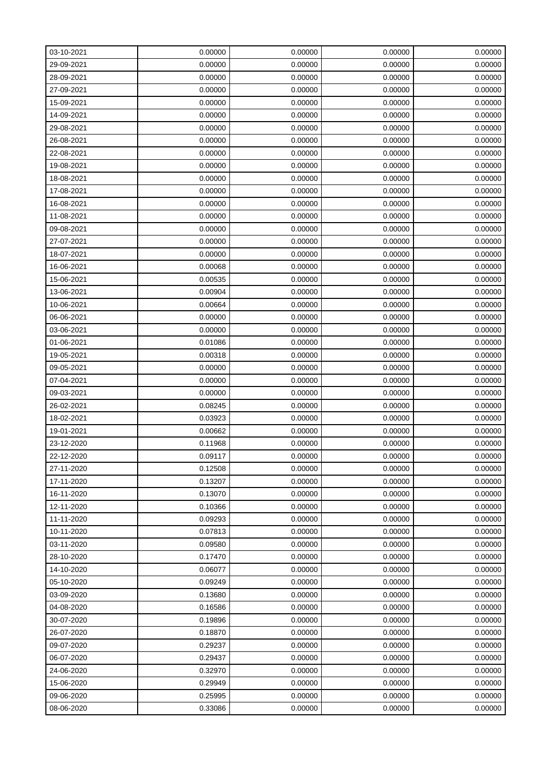| 03-10-2021 | 0.00000 | 0.00000 | 0.00000 | 0.00000 |
|------------|---------|---------|---------|---------|
| 29-09-2021 | 0.00000 | 0.00000 | 0.00000 | 0.00000 |
| 28-09-2021 | 0.00000 | 0.00000 | 0.00000 | 0.00000 |
| 27-09-2021 | 0.00000 | 0.00000 | 0.00000 | 0.00000 |
| 15-09-2021 | 0.00000 | 0.00000 | 0.00000 | 0.00000 |
| 14-09-2021 | 0.00000 | 0.00000 | 0.00000 | 0.00000 |
| 29-08-2021 | 0.00000 | 0.00000 | 0.00000 | 0.00000 |
| 26-08-2021 | 0.00000 | 0.00000 | 0.00000 | 0.00000 |
| 22-08-2021 | 0.00000 | 0.00000 | 0.00000 | 0.00000 |
| 19-08-2021 | 0.00000 | 0.00000 | 0.00000 | 0.00000 |
| 18-08-2021 | 0.00000 | 0.00000 | 0.00000 | 0.00000 |
| 17-08-2021 | 0.00000 | 0.00000 | 0.00000 | 0.00000 |
| 16-08-2021 | 0.00000 | 0.00000 | 0.00000 | 0.00000 |
| 11-08-2021 | 0.00000 | 0.00000 | 0.00000 | 0.00000 |
| 09-08-2021 | 0.00000 | 0.00000 | 0.00000 | 0.00000 |
| 27-07-2021 | 0.00000 | 0.00000 | 0.00000 | 0.00000 |
| 18-07-2021 | 0.00000 | 0.00000 | 0.00000 | 0.00000 |
| 16-06-2021 | 0.00068 | 0.00000 | 0.00000 | 0.00000 |
| 15-06-2021 | 0.00535 | 0.00000 | 0.00000 | 0.00000 |
| 13-06-2021 | 0.00904 | 0.00000 | 0.00000 | 0.00000 |
| 10-06-2021 | 0.00664 | 0.00000 | 0.00000 | 0.00000 |
| 06-06-2021 | 0.00000 | 0.00000 | 0.00000 | 0.00000 |
| 03-06-2021 | 0.00000 | 0.00000 | 0.00000 | 0.00000 |
| 01-06-2021 | 0.01086 | 0.00000 | 0.00000 | 0.00000 |
| 19-05-2021 | 0.00318 | 0.00000 | 0.00000 | 0.00000 |
| 09-05-2021 | 0.00000 | 0.00000 | 0.00000 | 0.00000 |
| 07-04-2021 | 0.00000 | 0.00000 | 0.00000 | 0.00000 |
| 09-03-2021 | 0.00000 | 0.00000 | 0.00000 | 0.00000 |
| 26-02-2021 | 0.08245 | 0.00000 | 0.00000 | 0.00000 |
| 18-02-2021 | 0.03923 | 0.00000 | 0.00000 | 0.00000 |
| 19-01-2021 | 0.00662 | 0.00000 | 0.00000 | 0.00000 |
| 23-12-2020 | 0.11968 | 0.00000 | 0.00000 | 0.00000 |
| 22-12-2020 | 0.09117 | 0.00000 | 0.00000 | 0.00000 |
| 27-11-2020 | 0.12508 | 0.00000 | 0.00000 | 0.00000 |
| 17-11-2020 | 0.13207 | 0.00000 | 0.00000 | 0.00000 |
| 16-11-2020 | 0.13070 | 0.00000 | 0.00000 | 0.00000 |
| 12-11-2020 | 0.10366 | 0.00000 | 0.00000 | 0.00000 |
| 11-11-2020 | 0.09293 | 0.00000 | 0.00000 | 0.00000 |
| 10-11-2020 | 0.07813 | 0.00000 | 0.00000 | 0.00000 |
| 03-11-2020 | 0.09580 | 0.00000 | 0.00000 | 0.00000 |
| 28-10-2020 | 0.17470 | 0.00000 | 0.00000 | 0.00000 |
| 14-10-2020 | 0.06077 | 0.00000 | 0.00000 | 0.00000 |
| 05-10-2020 | 0.09249 | 0.00000 | 0.00000 | 0.00000 |
| 03-09-2020 | 0.13680 | 0.00000 | 0.00000 | 0.00000 |
| 04-08-2020 | 0.16586 | 0.00000 | 0.00000 | 0.00000 |
| 30-07-2020 | 0.19896 | 0.00000 | 0.00000 | 0.00000 |
| 26-07-2020 | 0.18870 | 0.00000 | 0.00000 | 0.00000 |
| 09-07-2020 | 0.29237 | 0.00000 | 0.00000 | 0.00000 |
| 06-07-2020 | 0.29437 | 0.00000 | 0.00000 | 0.00000 |
| 24-06-2020 | 0.32970 | 0.00000 | 0.00000 | 0.00000 |
| 15-06-2020 | 0.29949 | 0.00000 | 0.00000 | 0.00000 |
| 09-06-2020 | 0.25995 | 0.00000 | 0.00000 | 0.00000 |
| 08-06-2020 | 0.33086 | 0.00000 | 0.00000 | 0.00000 |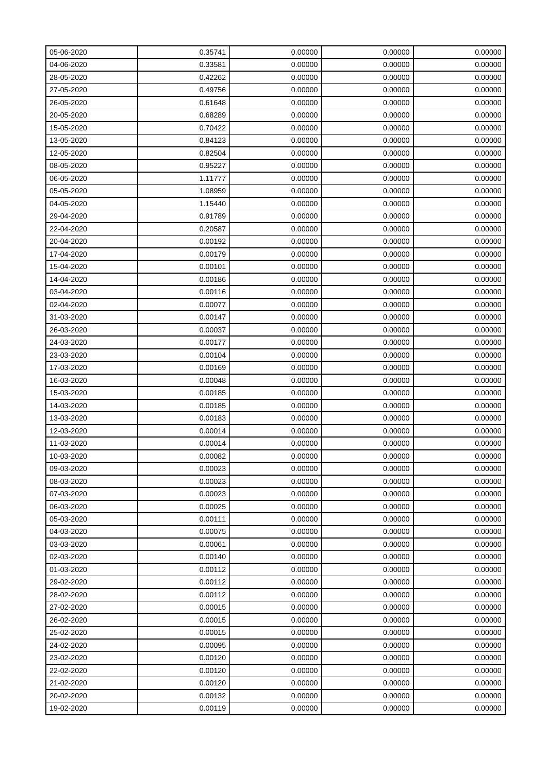| 05-06-2020 | 0.35741 | 0.00000 | 0.00000 | 0.00000 |
|------------|---------|---------|---------|---------|
| 04-06-2020 | 0.33581 | 0.00000 | 0.00000 | 0.00000 |
| 28-05-2020 | 0.42262 | 0.00000 | 0.00000 | 0.00000 |
| 27-05-2020 | 0.49756 | 0.00000 | 0.00000 | 0.00000 |
| 26-05-2020 | 0.61648 | 0.00000 | 0.00000 | 0.00000 |
| 20-05-2020 | 0.68289 | 0.00000 | 0.00000 | 0.00000 |
| 15-05-2020 | 0.70422 | 0.00000 | 0.00000 | 0.00000 |
| 13-05-2020 | 0.84123 | 0.00000 | 0.00000 | 0.00000 |
| 12-05-2020 | 0.82504 | 0.00000 | 0.00000 | 0.00000 |
| 08-05-2020 | 0.95227 | 0.00000 | 0.00000 | 0.00000 |
| 06-05-2020 | 1.11777 | 0.00000 | 0.00000 | 0.00000 |
| 05-05-2020 | 1.08959 | 0.00000 | 0.00000 | 0.00000 |
| 04-05-2020 | 1.15440 | 0.00000 | 0.00000 | 0.00000 |
| 29-04-2020 | 0.91789 | 0.00000 | 0.00000 | 0.00000 |
| 22-04-2020 | 0.20587 | 0.00000 | 0.00000 | 0.00000 |
| 20-04-2020 | 0.00192 | 0.00000 | 0.00000 | 0.00000 |
| 17-04-2020 | 0.00179 | 0.00000 | 0.00000 | 0.00000 |
| 15-04-2020 | 0.00101 | 0.00000 | 0.00000 | 0.00000 |
| 14-04-2020 | 0.00186 | 0.00000 | 0.00000 | 0.00000 |
| 03-04-2020 | 0.00116 | 0.00000 | 0.00000 | 0.00000 |
| 02-04-2020 | 0.00077 | 0.00000 | 0.00000 | 0.00000 |
| 31-03-2020 | 0.00147 | 0.00000 | 0.00000 | 0.00000 |
| 26-03-2020 | 0.00037 | 0.00000 | 0.00000 | 0.00000 |
| 24-03-2020 | 0.00177 | 0.00000 | 0.00000 | 0.00000 |
| 23-03-2020 | 0.00104 | 0.00000 | 0.00000 | 0.00000 |
| 17-03-2020 | 0.00169 | 0.00000 | 0.00000 | 0.00000 |
| 16-03-2020 | 0.00048 | 0.00000 | 0.00000 | 0.00000 |
| 15-03-2020 | 0.00185 | 0.00000 | 0.00000 | 0.00000 |
| 14-03-2020 | 0.00185 | 0.00000 | 0.00000 | 0.00000 |
| 13-03-2020 | 0.00183 | 0.00000 | 0.00000 | 0.00000 |
| 12-03-2020 | 0.00014 | 0.00000 | 0.00000 | 0.00000 |
| 11-03-2020 | 0.00014 | 0.00000 | 0.00000 | 0.00000 |
| 10-03-2020 | 0.00082 | 0.00000 | 0.00000 | 0.00000 |
| 09-03-2020 | 0.00023 | 0.00000 | 0.00000 | 0.00000 |
| 08-03-2020 | 0.00023 | 0.00000 | 0.00000 | 0.00000 |
| 07-03-2020 | 0.00023 | 0.00000 | 0.00000 | 0.00000 |
| 06-03-2020 | 0.00025 | 0.00000 | 0.00000 | 0.00000 |
| 05-03-2020 | 0.00111 | 0.00000 | 0.00000 | 0.00000 |
| 04-03-2020 | 0.00075 | 0.00000 | 0.00000 | 0.00000 |
| 03-03-2020 | 0.00061 | 0.00000 | 0.00000 | 0.00000 |
| 02-03-2020 | 0.00140 | 0.00000 | 0.00000 | 0.00000 |
| 01-03-2020 | 0.00112 | 0.00000 | 0.00000 | 0.00000 |
| 29-02-2020 | 0.00112 | 0.00000 | 0.00000 | 0.00000 |
| 28-02-2020 | 0.00112 | 0.00000 | 0.00000 | 0.00000 |
| 27-02-2020 | 0.00015 | 0.00000 | 0.00000 | 0.00000 |
| 26-02-2020 | 0.00015 | 0.00000 | 0.00000 | 0.00000 |
| 25-02-2020 | 0.00015 | 0.00000 | 0.00000 | 0.00000 |
| 24-02-2020 | 0.00095 | 0.00000 | 0.00000 | 0.00000 |
| 23-02-2020 | 0.00120 | 0.00000 | 0.00000 | 0.00000 |
| 22-02-2020 | 0.00120 | 0.00000 | 0.00000 | 0.00000 |
| 21-02-2020 | 0.00120 | 0.00000 | 0.00000 | 0.00000 |
| 20-02-2020 | 0.00132 | 0.00000 | 0.00000 | 0.00000 |
| 19-02-2020 | 0.00119 | 0.00000 | 0.00000 | 0.00000 |